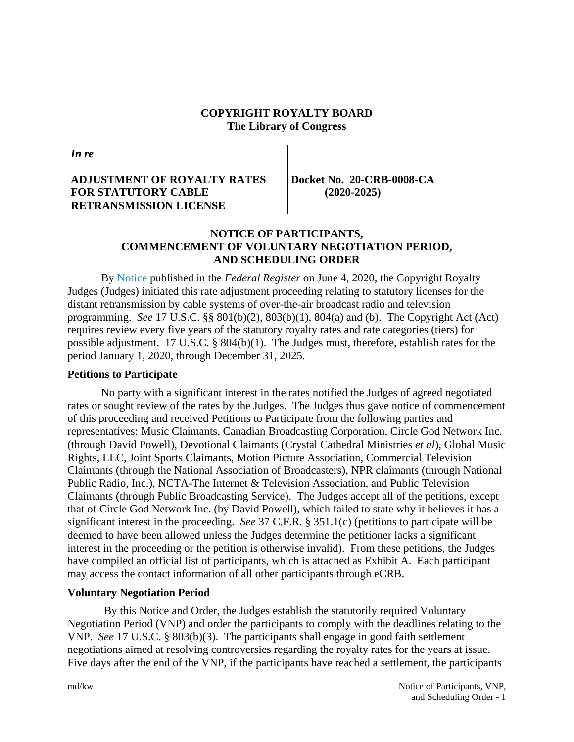#### **COPYRIGHT ROYALTY BOARD The Library of Congress**

*In re*

#### **ADJUSTMENT OF ROYALTY RATES FOR STATUTORY CABLE RETRANSMISSION LICENSE**

**Docket No. 20-CRB-0008-CA (2020-2025)**

## **NOTICE OF PARTICIPANTS, COMMENCEMENT OF VOLUNTARY NEGOTIATION PERIOD, AND SCHEDULING ORDER**

By [Notice](https://app.crb.gov/case/viewDocument/22270) published in the *Federal Register* on June 4, 2020, the Copyright Royalty Judges (Judges) initiated this rate adjustment proceeding relating to statutory licenses for the distant retransmission by cable systems of over-the-air broadcast radio and television programming. *See* 17 U.S.C. §§ 801(b)(2), 803(b)(1), 804(a) and (b). The Copyright Act (Act) requires review every five years of the statutory royalty rates and rate categories (tiers) for possible adjustment. 17 U.S.C. § 804(b)(1). The Judges must, therefore, establish rates for the period January 1, 2020, through December 31, 2025.

## **Petitions to Participate**

No party with a significant interest in the rates notified the Judges of agreed negotiated rates or sought review of the rates by the Judges. The Judges thus gave notice of commencement of this proceeding and received Petitions to Participate from the following parties and representatives: Music Claimants, Canadian Broadcasting Corporation, Circle God Network Inc. (through David Powell), Devotional Claimants (Crystal Cathedral Ministries *et al*), Global Music Rights, LLC, Joint Sports Claimants, Motion Picture Association, Commercial Television Claimants (through the National Association of Broadcasters), NPR claimants (through National Public Radio, Inc.), NCTA-The Internet & Television Association, and Public Television Claimants (through Public Broadcasting Service). The Judges accept all of the petitions, except that of Circle God Network Inc. (by David Powell), which failed to state why it believes it has a significant interest in the proceeding. *See* 37 C.F.R. § 351.1(c) (petitions to participate will be deemed to have been allowed unless the Judges determine the petitioner lacks a significant interest in the proceeding or the petition is otherwise invalid). From these petitions, the Judges have compiled an official list of participants, which is attached as Exhibit A. Each participant may access the contact information of all other participants through eCRB.

#### **Voluntary Negotiation Period**

By this Notice and Order, the Judges establish the statutorily required Voluntary Negotiation Period (VNP) and order the participants to comply with the deadlines relating to the VNP. *See* 17 U.S.C. § 803(b)(3). The participants shall engage in good faith settlement negotiations aimed at resolving controversies regarding the royalty rates for the years at issue. Five days after the end of the VNP, if the participants have reached a settlement, the participants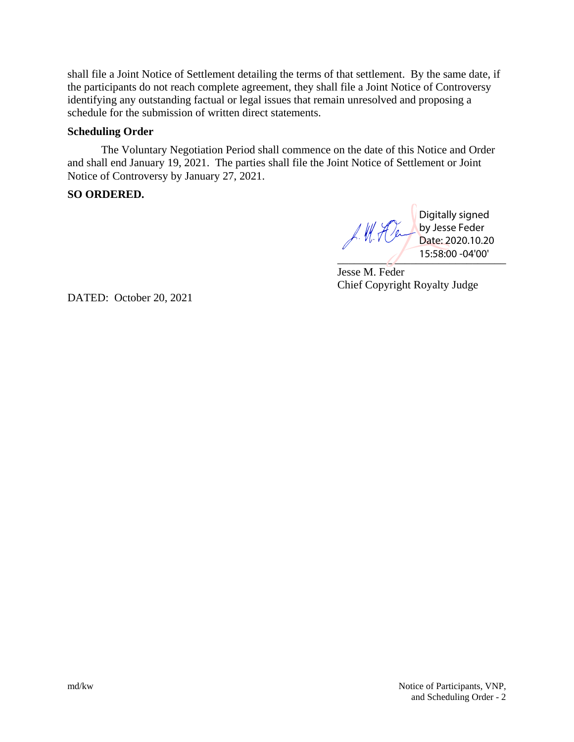shall file a Joint Notice of Settlement detailing the terms of that settlement. By the same date, if the participants do not reach complete agreement, they shall file a Joint Notice of Controversy identifying any outstanding factual or legal issues that remain unresolved and proposing a schedule for the submission of written direct statements.

#### **Scheduling Order**

The Voluntary Negotiation Period shall commence on the date of this Notice and Order and shall end January 19, 2021. The parties shall file the Joint Notice of Settlement or Joint Notice of Controversy by January 27, 2021.

### **SO ORDERED.**

J. M. Den  $15:58:00 - 04'00'$ 

Digitally signed by Jesse Feder Date: 2020.10.20

Jesse M. Feder Chief Copyright Royalty Judge

DATED: October 20, 2021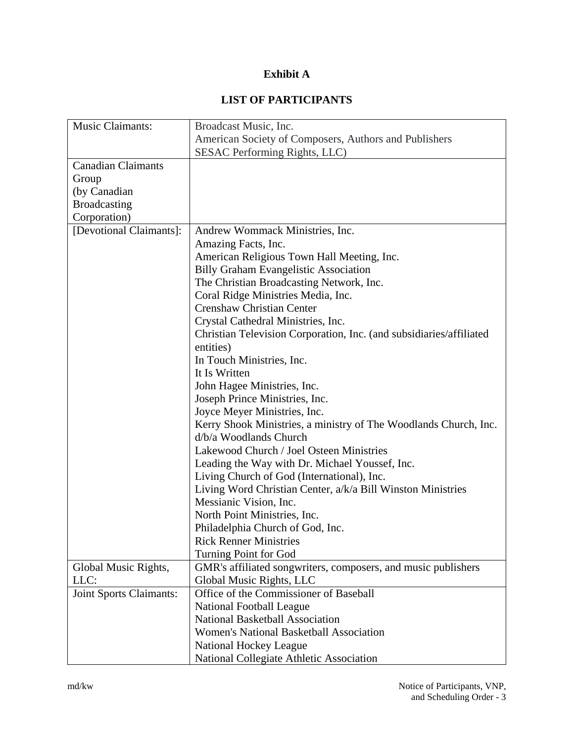## **Exhibit A**

# **LIST OF PARTICIPANTS**

| Music Claimants:               | Broadcast Music, Inc.                                               |
|--------------------------------|---------------------------------------------------------------------|
|                                | American Society of Composers, Authors and Publishers               |
|                                | SESAC Performing Rights, LLC)                                       |
| <b>Canadian Claimants</b>      |                                                                     |
| Group                          |                                                                     |
| (by Canadian                   |                                                                     |
| <b>Broadcasting</b>            |                                                                     |
| Corporation)                   |                                                                     |
| [Devotional Claimants]:        | Andrew Wommack Ministries, Inc.                                     |
|                                | Amazing Facts, Inc.                                                 |
|                                | American Religious Town Hall Meeting, Inc.                          |
|                                | <b>Billy Graham Evangelistic Association</b>                        |
|                                | The Christian Broadcasting Network, Inc.                            |
|                                | Coral Ridge Ministries Media, Inc.                                  |
|                                | <b>Crenshaw Christian Center</b>                                    |
|                                | Crystal Cathedral Ministries, Inc.                                  |
|                                | Christian Television Corporation, Inc. (and subsidiaries/affiliated |
|                                | entities)                                                           |
|                                | In Touch Ministries, Inc.                                           |
|                                | It Is Written                                                       |
|                                | John Hagee Ministries, Inc.                                         |
|                                | Joseph Prince Ministries, Inc.                                      |
|                                | Joyce Meyer Ministries, Inc.                                        |
|                                | Kerry Shook Ministries, a ministry of The Woodlands Church, Inc.    |
|                                | d/b/a Woodlands Church                                              |
|                                | Lakewood Church / Joel Osteen Ministries                            |
|                                | Leading the Way with Dr. Michael Youssef, Inc.                      |
|                                | Living Church of God (International), Inc.                          |
|                                | Living Word Christian Center, a/k/a Bill Winston Ministries         |
|                                | Messianic Vision, Inc.                                              |
|                                | North Point Ministries, Inc.                                        |
|                                | Philadelphia Church of God, Inc.                                    |
|                                | <b>Rick Renner Ministries</b>                                       |
|                                | Turning Point for God                                               |
| Global Music Rights,           | GMR's affiliated songwriters, composers, and music publishers       |
| LLC:                           | Global Music Rights, LLC                                            |
| <b>Joint Sports Claimants:</b> | Office of the Commissioner of Baseball                              |
|                                | <b>National Football League</b>                                     |
|                                | <b>National Basketball Association</b>                              |
|                                | <b>Women's National Basketball Association</b>                      |
|                                | National Hockey League                                              |
|                                | National Collegiate Athletic Association                            |
|                                |                                                                     |